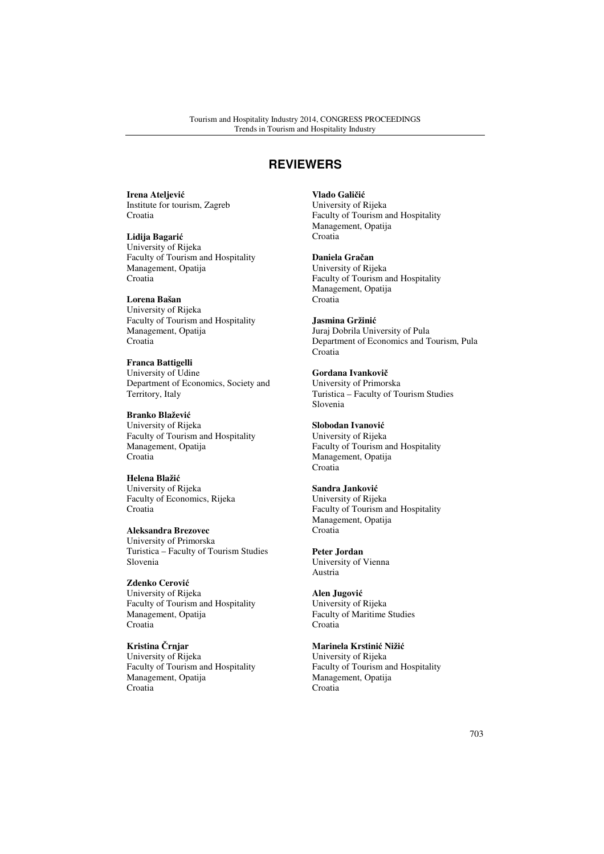# **REVIEWERS**

**Irena Ateljevi**ć Institute for tourism, Zagreb Croatia

**Lidija Bagari**ć University of Rijeka Faculty of Tourism and Hospitality Management, Opatija Croatia

**Lorena Bašan**  University of Rijeka Faculty of Tourism and Hospitality Management, Opatija Croatia

**Franca Battigelli**  University of Udine Department of Economics, Society and Territory, Italy

**Branko Blaževi**ć University of Rijeka Faculty of Tourism and Hospitality Management, Opatija Croatia

**Helena Blaži**ć University of Rijeka Faculty of Economics, Rijeka Croatia

**Aleksandra Brezovec**  University of Primorska Turistica – Faculty of Tourism Studies Slovenia

**Zdenko Cerovi**ć University of Rijeka Faculty of Tourism and Hospitality Management, Opatija Croatia

**Kristina** Č**rnjar**  University of Rijeka Faculty of Tourism and Hospitality Management, Opatija Croatia

**Vlado Gali**č**i**ć University of Rijeka Faculty of Tourism and Hospitality Management, Opatija Croatia

**Daniela Gra**č**an**  University of Rijeka Faculty of Tourism and Hospitality Management, Opatija Croatia

**Jasmina Gržini**ć Juraj Dobrila University of Pula Department of Economics and Tourism, Pula Croatia

**Gordana Ivankovi**č University of Primorska Turistica – Faculty of Tourism Studies Slovenia

**Slobodan Ivanovi**ć University of Rijeka Faculty of Tourism and Hospitality Management, Opatija Croatia

**Sandra Jankovi**ć University of Rijeka Faculty of Tourism and Hospitality Management, Opatija Croatia

**Peter Jordan**  University of Vienna Austria

**Alen Jugovi**ć University of Rijeka Faculty of Maritime Studies Croatia

**Marinela Krstini**ć **Niži**ć University of Rijeka Faculty of Tourism and Hospitality Management, Opatija Croatia